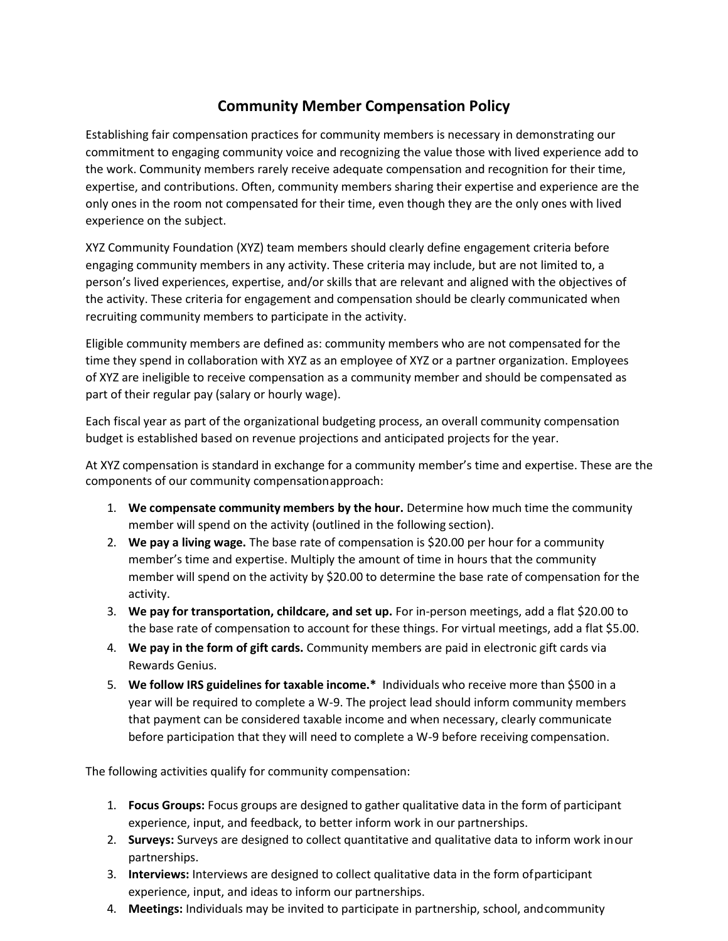## **Community Member Compensation Policy**

Establishing fair compensation practices for community members is necessary in demonstrating our commitment to engaging community voice and recognizing the value those with lived experience add to the work. Community members rarely receive adequate compensation and recognition for their time, expertise, and contributions. Often, community members sharing their expertise and experience are the only ones in the room not compensated for their time, even though they are the only ones with lived experience on the subject.

XYZ Community Foundation (XYZ) team members should clearly define engagement criteria before engaging community members in any activity. These criteria may include, but are not limited to, a person's lived experiences, expertise, and/or skills that are relevant and aligned with the objectives of the activity. These criteria for engagement and compensation should be clearly communicated when recruiting community members to participate in the activity.

Eligible community members are defined as: community members who are not compensated for the time they spend in collaboration with XYZ as an employee of XYZ or a partner organization. Employees of XYZ are ineligible to receive compensation as a community member and should be compensated as part of their regular pay (salary or hourly wage).

Each fiscal year as part of the organizational budgeting process, an overall community compensation budget is established based on revenue projections and anticipated projects for the year.

At XYZ compensation is standard in exchange for a community member's time and expertise. These are the components of our community compensationapproach:

- 1. **We compensate community members by the hour.** Determine how much time the community member will spend on the activity (outlined in the following section).
- 2. **We pay a living wage.** The base rate of compensation is \$20.00 per hour for a community member's time and expertise. Multiply the amount of time in hours that the community member will spend on the activity by \$20.00 to determine the base rate of compensation for the activity.
- 3. **We pay for transportation, childcare, and set up.** For in-person meetings, add a flat \$20.00 to the base rate of compensation to account for these things. For virtual meetings, add a flat \$5.00.
- 4. **We pay in the form of gift cards.** Community members are paid in electronic gift cards via Rewards Genius.
- 5. **We follow IRS guidelines for taxable income.\*** Individuals who receive more than \$500 in a year will be required to complete a W-9. The project lead should inform community members that payment can be considered taxable income and when necessary, clearly communicate before participation that they will need to complete a W-9 before receiving compensation.

The following activities qualify for community compensation:

- 1. **Focus Groups:** Focus groups are designed to gather qualitative data in the form of participant experience, input, and feedback, to better inform work in our partnerships.
- 2. **Surveys:** Surveys are designed to collect quantitative and qualitative data to inform work inour partnerships.
- 3. **Interviews:** Interviews are designed to collect qualitative data in the form ofparticipant experience, input, and ideas to inform our partnerships.
- 4. **Meetings:** Individuals may be invited to participate in partnership, school, andcommunity